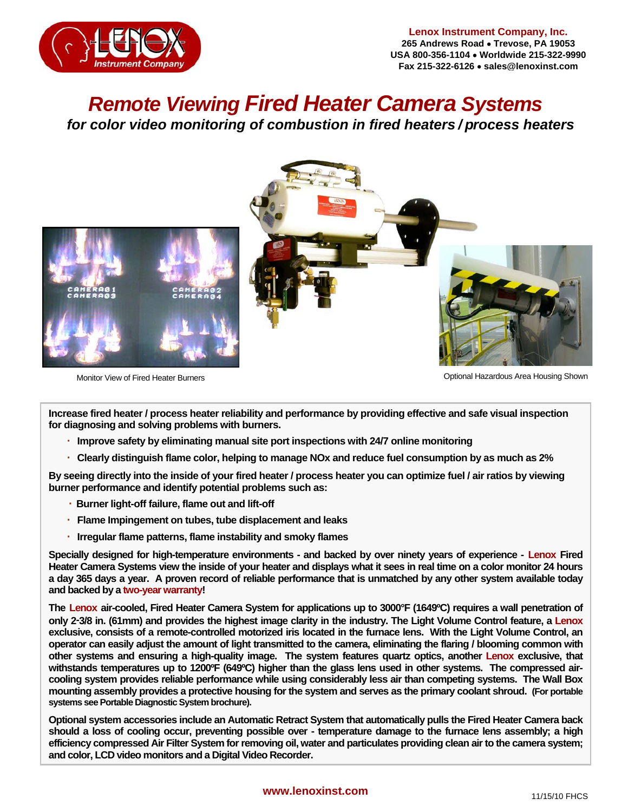

*Remote Viewing Fired Heater Camera Systems for color video monitoring of combustion in fired heaters / process heaters* 



Monitor View of Fired Heater Burners **Contract Contract Contract Contract Contract Contract Contract Contract Contract Contract Contract Contract Contract Contract Contract Contract Contract Contract Contract Contract Cont** 

 **Increase fired heater / process heater reliability and performance by providing effective and safe visual inspection for diagnosing and solving problems with burners.** 

- **· Improve safety by eliminating manual site port inspections with 24/7 online monitoring**
- **· Clearly distinguish flame color, helping to manage NOx and reduce fuel consumption by as much as 2%**

**By seeing directly into the inside of your fired heater / process heater you can optimize fuel / air ratios by viewing burner performance and identify potential problems such as:** 

- **· Burner light-off failure, flame out and lift-off**
- **· Flame Impingement on tubes, tube displacement and leaks**
- **· Irregular flame patterns, flame instability and smoky flames**

**Specially designed for high-temperature environments - and backed by over ninety years of experience - Lenox Fired Heater Camera Systems view the inside of your heater and displays what it sees in real time on a color monitor 24 hours a day 365 days a year. A proven record of reliable performance that is unmatched by any other system available today and backed by a two-year warranty!** 

**The Lenox air-cooled, Fired Heater Camera System for applications up to 3000°F (1649ºC) requires a wall penetration of only 2-3/8 in. (61mm) and provides the highest image clarity in the industry. The Light Volume Control feature, a Lenox exclusive, consists of a remote-controlled motorized iris located in the furnace lens. With the Light Volume Control, an operator can easily adjust the amount of light transmitted to the camera, eliminating the flaring / blooming common with other systems and ensuring a high-quality image. The system features quartz optics, another Lenox exclusive, that withstands temperatures up to 1200ºF (649ºC) higher than the glass lens used in other systems. The compressed aircooling system provides reliable performance while using considerably less air than competing systems. The Wall Box mounting assembly provides a protective housing for the system and serves as the primary coolant shroud. (For portable systems see Portable Diagnostic System brochure).** 

**Optional system accessories include an Automatic Retract System that automatically pulls the Fired Heater Camera back should a loss of cooling occur, preventing possible over - temperature damage to the furnace lens assembly; a high efficiency compressed Air Filter System for removing oil, water and particulates providing clean air to the camera system; and color, LCD video monitors and a Digital Video Recorder.**